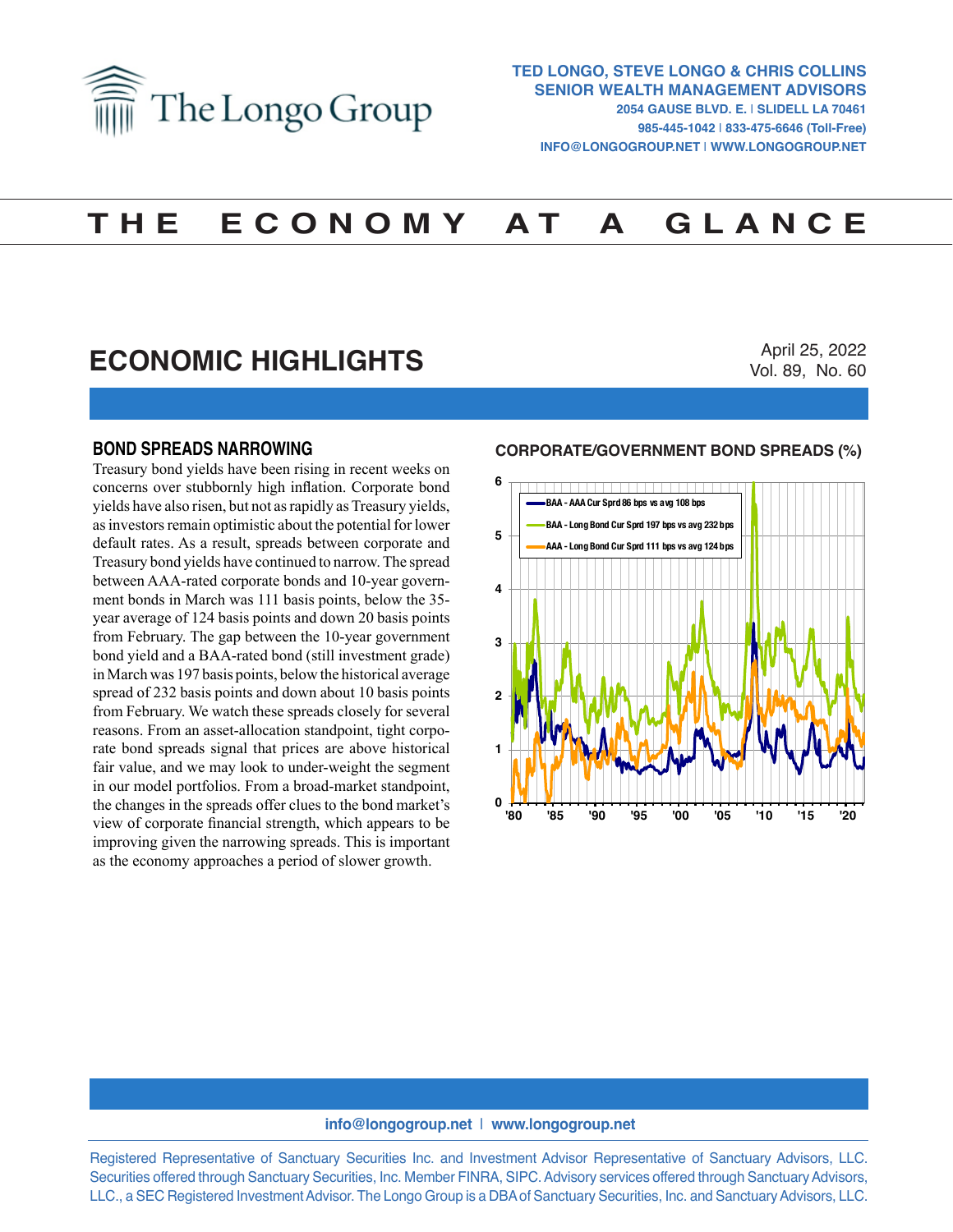

# **T H E E C O N O M Y A T A G L A N C E**

## **ECONOMIC HIGHLIGHTS**

April 25, 2022 Vol. 89, No. 60

#### **BOND SPREADS NARROWING**

Treasury bond yields have been rising in recent weeks on concerns over stubbornly high inflation. Corporate bond yields have also risen, but not as rapidly as Treasury yields, as investors remain optimistic about the potential for lower default rates. As a result, spreads between corporate and Treasury bond yields have continued to narrow. The spread between AAA-rated corporate bonds and 10-year government bonds in March was 111 basis points, below the 35 year average of 124 basis points and down 20 basis points from February. The gap between the 10-year government bond yield and a BAA-rated bond (still investment grade) in March was 197 basis points, below the historical average spread of 232 basis points and down about 10 basis points from February. We watch these spreads closely for several reasons. From an asset-allocation standpoint, tight corporate bond spreads signal that prices are above historical fair value, and we may look to under-weight the segment in our model portfolios. From a broad-market standpoint, the changes in the spreads offer clues to the bond market's view of corporate financial strength, which appears to be improving given the narrowing spreads. This is important as the economy approaches a period of slower growth.

### **CORPORATE/GOVERNMENT BOND SPREADS (%) CORPORATE/GOVERNMENT BOND SPREADS (%)**



#### **info@longogroup.net** | **www.longogroup.net**

Registered Representative of Sanctuary Securities Inc. and Investment Advisor Representative of Sanctuary Advisors, LLC. Securities offered through Sanctuary Securities, Inc. Member FINRA, SIPC. Advisory services offered through Sanctuary Advisors, LLC., a SEC Registered Investment Advisor. The Longo Group is a DBA of Sanctuary Securities, Inc. and Sanctuary Advisors, LLC.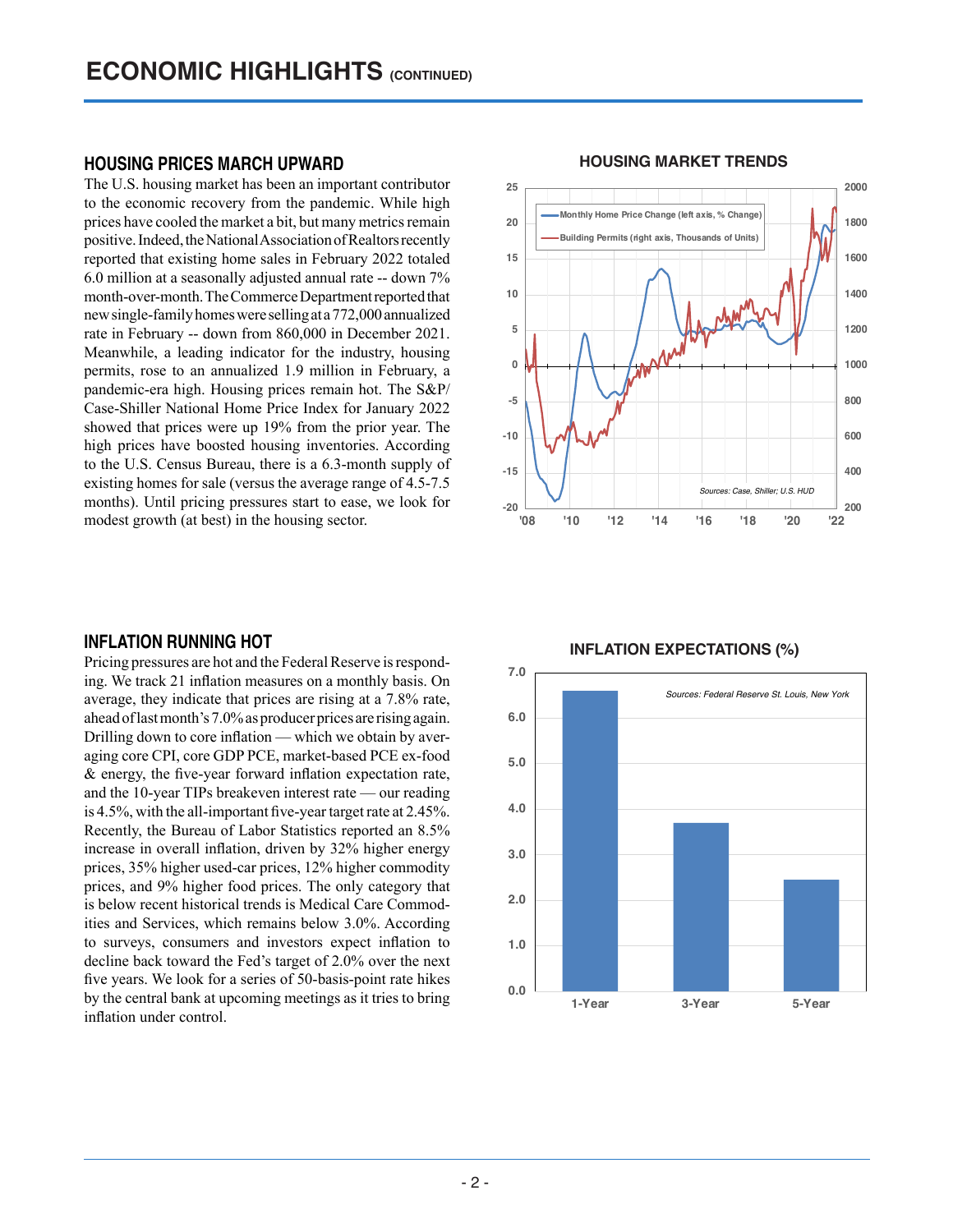### **HOUSING PRICES MARCH UPWARD**

The U.S. housing market has been an important contributor to the economic recovery from the pandemic. While high prices have cooled the market a bit, but many metrics remain positive. Indeed, the National Association of Realtors recently reported that existing home sales in February 2022 totaled 6.0 million at a seasonally adjusted annual rate -- down 7% month-over-month. The Commerce Department reported that new single-family homes were selling at a 772,000 annualized rate in February -- down from 860,000 in December 2021. Meanwhile, a leading indicator for the industry, housing permits, rose to an annualized 1.9 million in February, a pandemic-era high. Housing prices remain hot. The S&P/ Case-Shiller National Home Price Index for January 2022 showed that prices were up 19% from the prior year. The high prices have boosted housing inventories. According to the U.S. Census Bureau, there is a 6.3-month supply of existing homes for sale (versus the average range of 4.5-7.5 months). Until pricing pressures start to ease, we look for modest growth (at best) in the housing sector.

### **INFLATION RUNNING HOT**

Pricing pressures are hot and the Federal Reserve is responding. We track 21 inflation measures on a monthly basis. On average, they indicate that prices are rising at a 7.8% rate, ahead of last month's 7.0% as producer prices are rising again. Drilling down to core inflation — which we obtain by averaging core CPI, core GDP PCE, market-based PCE ex-food & energy, the five-year forward inflation expectation rate, and the 10-year TIPs breakeven interest rate — our reading is 4.5%, with the all-important five-year target rate at 2.45%. Recently, the Bureau of Labor Statistics reported an 8.5% increase in overall inflation, driven by 32% higher energy prices, 35% higher used-car prices, 12% higher commodity prices, and 9% higher food prices. The only category that is below recent historical trends is Medical Care Commodities and Services, which remains below 3.0%. According to surveys, consumers and investors expect inflation to decline back toward the Fed's target of 2.0% over the next five years. We look for a series of 50-basis-point rate hikes by the central bank at upcoming meetings as it tries to bring inflation under control.



### **HOUSING MARKET TRENDS HOUSING MARKET TRENDS**

**INFLATION EXPECTATIONS (%)**

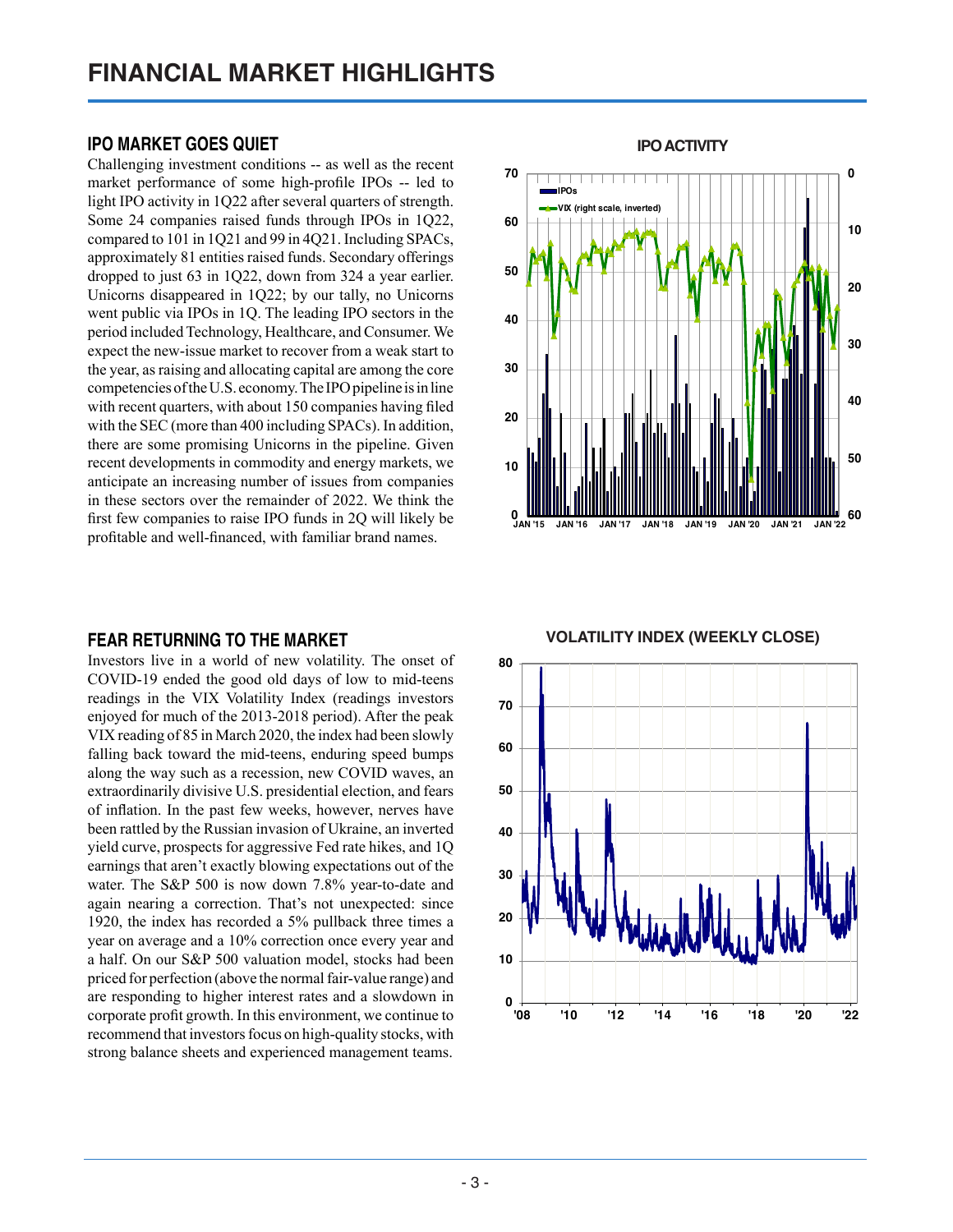### **IPO MARKET GOES QUIET**

Challenging investment conditions -- as well as the recent market performance of some high-profile IPOs -- led to light IPO activity in 1Q22 after several quarters of strength. Some 24 companies raised funds through IPOs in 1Q22, compared to 101 in 1Q21 and 99 in 4Q21. Including SPACs, approximately 81 entities raised funds. Secondary offerings dropped to just 63 in 1Q22, down from 324 a year earlier. Unicorns disappeared in 1Q22; by our tally, no Unicorns went public via IPOs in 1Q. The leading IPO sectors in the period included Technology, Healthcare, and Consumer. We expect the new-issue market to recover from a weak start to the year, as raising and allocating capital are among the core competencies of the U.S. economy. The IPO pipeline is in line with recent quarters, with about 150 companies having filed with the SEC (more than 400 including SPACs). In addition, there are some promising Unicorns in the pipeline. Given recent developments in commodity and energy markets, we anticipate an increasing number of issues from companies in these sectors over the remainder of 2022. We think the first few companies to raise IPO funds in 2Q will likely be profitable and well-financed, with familiar brand names.

### **FEAR RETURNING TO THE MARKET**

Investors live in a world of new volatility. The onset of COVID-19 ended the good old days of low to mid-teens readings in the VIX Volatility Index (readings investors enjoyed for much of the 2013-2018 period). After the peak VIX reading of 85 in March 2020, the index had been slowly falling back toward the mid-teens, enduring speed bumps along the way such as a recession, new COVID waves, an extraordinarily divisive U.S. presidential election, and fears of inflation. In the past few weeks, however, nerves have been rattled by the Russian invasion of Ukraine, an inverted yield curve, prospects for aggressive Fed rate hikes, and 1Q earnings that aren't exactly blowing expectations out of the water. The S&P 500 is now down 7.8% year-to-date and again nearing a correction. That's not unexpected: since 1920, the index has recorded a 5% pullback three times a year on average and a 10% correction once every year and a half. On our S&P 500 valuation model, stocks had been priced for perfection (above the normal fair-value range) and are responding to higher interest rates and a slowdown in corporate profit growth. In this environment, we continue to recommend that investors focus on high-quality stocks, with strong balance sheets and experienced management teams.